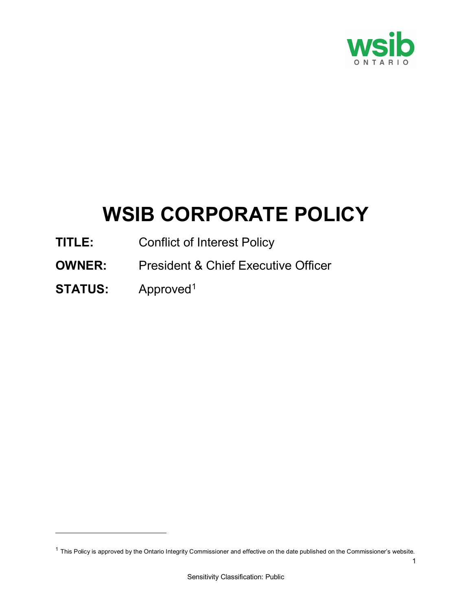

# **WSIB CORPORATE POLICY**

- **TITLE:** Conflict of Interest Policy
- **OWNER:** President & Chief Executive Officer
- **STATUS:** Approved[1](#page-0-0)

 $\overline{a}$ 

<span id="page-0-0"></span> $1$  This Policy is approved by the Ontario Integrity Commissioner and effective on the date published on the Commissioner's website.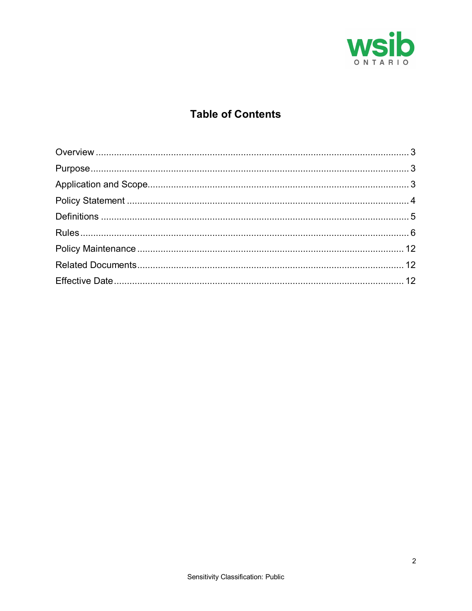

# **Table of Contents**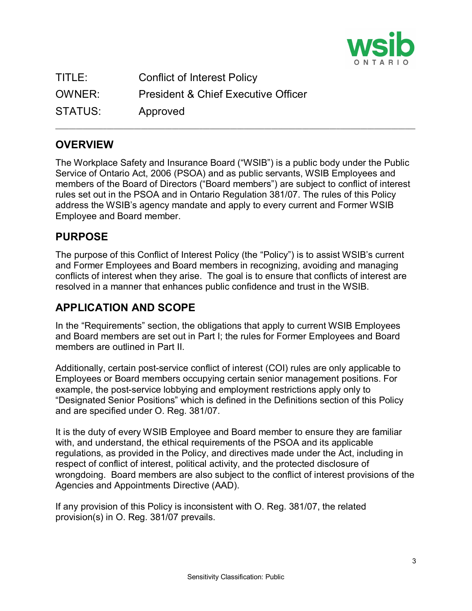

| TITLE:  | <b>Conflict of Interest Policy</b>             |
|---------|------------------------------------------------|
| OWNER:  | <b>President &amp; Chief Executive Officer</b> |
| STATUS: | Approved                                       |

## <span id="page-2-0"></span>**OVERVIEW**

The Workplace Safety and Insurance Board ("WSIB") is a public body under the Public Service of Ontario Act, 2006 (PSOA) and as public servants, WSIB Employees and members of the Board of Directors ("Board members") are subject to conflict of interest rules set out in the PSOA and in Ontario Regulation 381/07. The rules of this Policy address the WSIB's agency mandate and apply to every current and Former WSIB Employee and Board member.

\_\_\_\_\_\_\_\_\_\_\_\_\_\_\_\_\_\_\_\_\_\_\_\_\_\_\_\_\_\_\_\_\_\_\_\_\_\_\_\_\_\_\_\_\_\_\_\_\_\_\_\_\_\_\_\_\_\_\_\_\_\_\_\_\_\_\_\_\_\_\_\_\_\_\_\_\_\_\_\_\_\_\_\_\_\_\_\_\_\_\_\_\_\_\_\_\_\_\_\_\_\_\_\_\_

## <span id="page-2-1"></span>**PURPOSE**

The purpose of this Conflict of Interest Policy (the "Policy") is to assist WSIB's current and Former Employees and Board members in recognizing, avoiding and managing conflicts of interest when they arise. The goal is to ensure that conflicts of interest are resolved in a manner that enhances public confidence and trust in the WSIB.

## <span id="page-2-2"></span>**APPLICATION AND SCOPE**

In the "Requirements" section, the obligations that apply to current WSIB Employees and Board members are set out in Part I; the rules for Former Employees and Board members are outlined in Part II.

Additionally, certain post-service conflict of interest (COI) rules are only applicable to Employees or Board members occupying certain senior management positions. For example, the post-service lobbying and employment restrictions apply only to "Designated Senior Positions" which is defined in the Definitions section of this Policy and are specified under O. Reg. 381/07.

It is the duty of every WSIB Employee and Board member to ensure they are familiar with, and understand, the ethical requirements of the PSOA and its applicable regulations, as provided in the Policy, and directives made under the Act, including in respect of conflict of interest, political activity, and the protected disclosure of wrongdoing. Board members are also subject to the conflict of interest provisions of the Agencies and Appointments Directive (AAD).

If any provision of this Policy is inconsistent with O. Reg. 381/07, the related provision(s) in O. Reg. 381/07 prevails.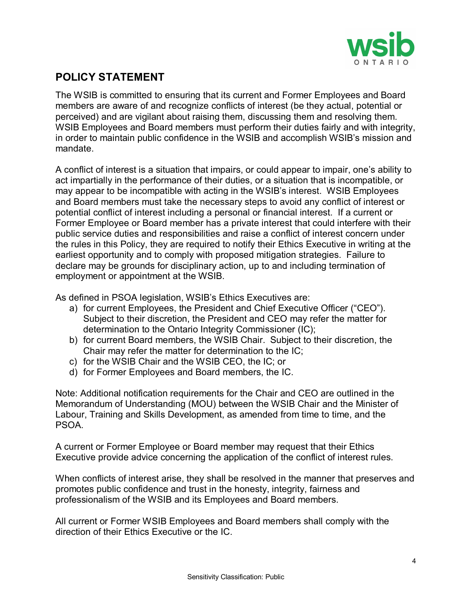

## <span id="page-3-0"></span>**POLICY STATEMENT**

The WSIB is committed to ensuring that its current and Former Employees and Board members are aware of and recognize conflicts of interest (be they actual, potential or perceived) and are vigilant about raising them, discussing them and resolving them. WSIB Employees and Board members must perform their duties fairly and with integrity, in order to maintain public confidence in the WSIB and accomplish WSIB's mission and mandate.

A conflict of interest is a situation that impairs, or could appear to impair, one's ability to act impartially in the performance of their duties, or a situation that is incompatible, or may appear to be incompatible with acting in the WSIB's interest. WSIB Employees and Board members must take the necessary steps to avoid any conflict of interest or potential conflict of interest including a personal or financial interest. If a current or Former Employee or Board member has a private interest that could interfere with their public service duties and responsibilities and raise a conflict of interest concern under the rules in this Policy, they are required to notify their Ethics Executive in writing at the earliest opportunity and to comply with proposed mitigation strategies. Failure to declare may be grounds for disciplinary action, up to and including termination of employment or appointment at the WSIB.

As defined in PSOA legislation, WSIB's Ethics Executives are:

- a) for current Employees, the President and Chief Executive Officer ("CEO"). Subject to their discretion, the President and CEO may refer the matter for determination to the Ontario Integrity Commissioner (IC);
- b) for current Board members, the WSIB Chair. Subject to their discretion, the Chair may refer the matter for determination to the IC;
- c) for the WSIB Chair and the WSIB CEO, the IC; or
- d) for Former Employees and Board members, the IC.

Note: Additional notification requirements for the Chair and CEO are outlined in the Memorandum of Understanding (MOU) between the WSIB Chair and the Minister of Labour, Training and Skills Development, as amended from time to time, and the PSOA.

A current or Former Employee or Board member may request that their Ethics Executive provide advice concerning the application of the conflict of interest rules.

When conflicts of interest arise, they shall be resolved in the manner that preserves and promotes public confidence and trust in the honesty, integrity, fairness and professionalism of the WSIB and its Employees and Board members.

All current or Former WSIB Employees and Board members shall comply with the direction of their Ethics Executive or the IC.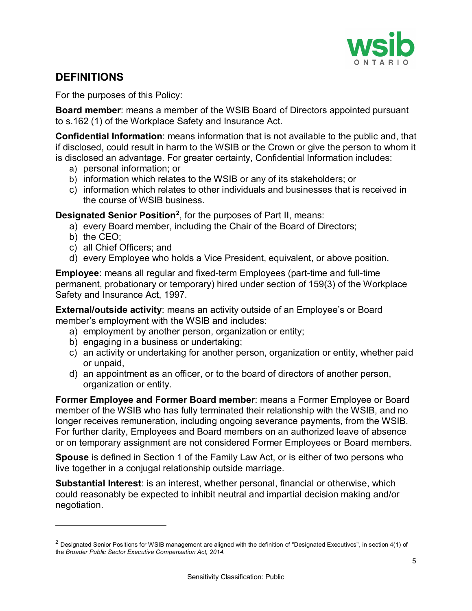

## <span id="page-4-0"></span>**DEFINITIONS**

For the purposes of this Policy:

**Board member**: means a member of the WSIB Board of Directors appointed pursuant to s.162 (1) of the Workplace Safety and Insurance Act.

**Confidential Information**: means information that is not available to the public and, that if disclosed, could result in harm to the WSIB or the Crown or give the person to whom it is disclosed an advantage. For greater certainty, Confidential Information includes:

- a) personal information; or
- b) information which relates to the WSIB or any of its stakeholders; or
- c) information which relates to other individuals and businesses that is received in the course of WSIB business.

**Designated Senior Position[2](#page-4-1)** , for the purposes of Part II, means:

- a) every Board member, including the Chair of the Board of Directors;
- b) the CEO;

 $\overline{a}$ 

- c) all Chief Officers; and
- d) every Employee who holds a Vice President, equivalent, or above position.

**Employee**: means all regular and fixed-term Employees (part-time and full-time permanent, probationary or temporary) hired under section of 159(3) of the Workplace Safety and Insurance Act, 1997.

**External/outside activity**: means an activity outside of an Employee's or Board member's employment with the WSIB and includes:

- a) employment by another person, organization or entity;
- b) engaging in a business or undertaking;
- c) an activity or undertaking for another person, organization or entity, whether paid or unpaid,
- d) an appointment as an officer, or to the board of directors of another person, organization or entity.

**Former Employee and Former Board member**: means a Former Employee or Board member of the WSIB who has fully terminated their relationship with the WSIB, and no longer receives remuneration, including ongoing severance payments, from the WSIB. For further clarity, Employees and Board members on an authorized leave of absence or on temporary assignment are not considered Former Employees or Board members.

**Spouse** is defined in Section 1 of the Family Law Act, or is either of two persons who live together in a conjugal relationship outside marriage.

**Substantial Interest**: is an interest, whether personal, financial or otherwise, which could reasonably be expected to inhibit neutral and impartial decision making and/or negotiation.

<span id="page-4-1"></span> $2$  Designated Senior Positions for WSIB management are aligned with the definition of "Designated Executives", in section 4(1) of the *Broader Public Sector Executive Compensation Act, 2014.*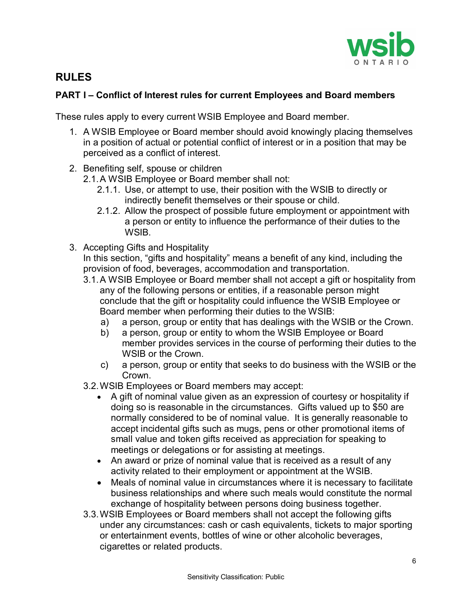

## <span id="page-5-0"></span>**RULES**

### **PART I – Conflict of Interest rules for current Employees and Board members**

These rules apply to every current WSIB Employee and Board member.

- 1. A WSIB Employee or Board member should avoid knowingly placing themselves in a position of actual or potential conflict of interest or in a position that may be perceived as a conflict of interest.
- 2. Benefiting self, spouse or children
	- 2.1.A WSIB Employee or Board member shall not:
		- 2.1.1. Use, or attempt to use, their position with the WSIB to directly or indirectly benefit themselves or their spouse or child.
		- 2.1.2. Allow the prospect of possible future employment or appointment with a person or entity to influence the performance of their duties to the WSIB.
- 3. Accepting Gifts and Hospitality

In this section, "gifts and hospitality" means a benefit of any kind, including the provision of food, beverages, accommodation and transportation.

- 3.1.A WSIB Employee or Board member shall not accept a gift or hospitality from any of the following persons or entities, if a reasonable person might conclude that the gift or hospitality could influence the WSIB Employee or Board member when performing their duties to the WSIB:
	- a) a person, group or entity that has dealings with the WSIB or the Crown.
	- b) a person, group or entity to whom the WSIB Employee or Board member provides services in the course of performing their duties to the WSIB or the Crown.
	- c) a person, group or entity that seeks to do business with the WSIB or the Crown.
- 3.2.WSIB Employees or Board members may accept:
	- A gift of nominal value given as an expression of courtesy or hospitality if doing so is reasonable in the circumstances. Gifts valued up to \$50 are normally considered to be of nominal value. It is generally reasonable to accept incidental gifts such as mugs, pens or other promotional items of small value and token gifts received as appreciation for speaking to meetings or delegations or for assisting at meetings.
	- An award or prize of nominal value that is received as a result of any activity related to their employment or appointment at the WSIB.
	- Meals of nominal value in circumstances where it is necessary to facilitate business relationships and where such meals would constitute the normal exchange of hospitality between persons doing business together.
- 3.3.WSIB Employees or Board members shall not accept the following gifts under any circumstances: cash or cash equivalents, tickets to major sporting or entertainment events, bottles of wine or other alcoholic beverages, cigarettes or related products.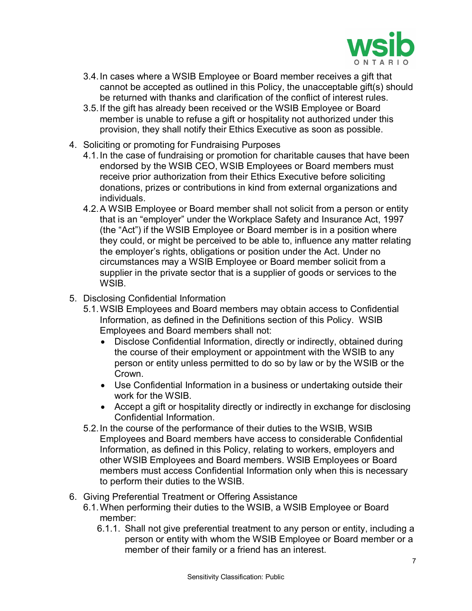

- 3.4.In cases where a WSIB Employee or Board member receives a gift that cannot be accepted as outlined in this Policy, the unacceptable gift(s) should be returned with thanks and clarification of the conflict of interest rules.
- 3.5.If the gift has already been received or the WSIB Employee or Board member is unable to refuse a gift or hospitality not authorized under this provision, they shall notify their Ethics Executive as soon as possible.
- 4. Soliciting or promoting for Fundraising Purposes
	- 4.1.In the case of fundraising or promotion for charitable causes that have been endorsed by the WSIB CEO, WSIB Employees or Board members must receive prior authorization from their Ethics Executive before soliciting donations, prizes or contributions in kind from external organizations and individuals.
	- 4.2.A WSIB Employee or Board member shall not solicit from a person or entity that is an "employer" under the Workplace Safety and Insurance Act, 1997 (the "Act") if the WSIB Employee or Board member is in a position where they could, or might be perceived to be able to, influence any matter relating the employer's rights, obligations or position under the Act. Under no circumstances may a WSIB Employee or Board member solicit from a supplier in the private sector that is a supplier of goods or services to the WSIB.
- 5. Disclosing Confidential Information
	- 5.1.WSIB Employees and Board members may obtain access to Confidential Information, as defined in the Definitions section of this Policy. WSIB Employees and Board members shall not:
		- Disclose Confidential Information, directly or indirectly, obtained during the course of their employment or appointment with the WSIB to any person or entity unless permitted to do so by law or by the WSIB or the Crown.
		- Use Confidential Information in a business or undertaking outside their work for the WSIB.
		- Accept a gift or hospitality directly or indirectly in exchange for disclosing Confidential Information.
	- 5.2.In the course of the performance of their duties to the WSIB, WSIB Employees and Board members have access to considerable Confidential Information, as defined in this Policy, relating to workers, employers and other WSIB Employees and Board members. WSIB Employees or Board members must access Confidential Information only when this is necessary to perform their duties to the WSIB.
- 6. Giving Preferential Treatment or Offering Assistance
	- 6.1.When performing their duties to the WSIB, a WSIB Employee or Board member:
		- 6.1.1. Shall not give preferential treatment to any person or entity, including a person or entity with whom the WSIB Employee or Board member or a member of their family or a friend has an interest.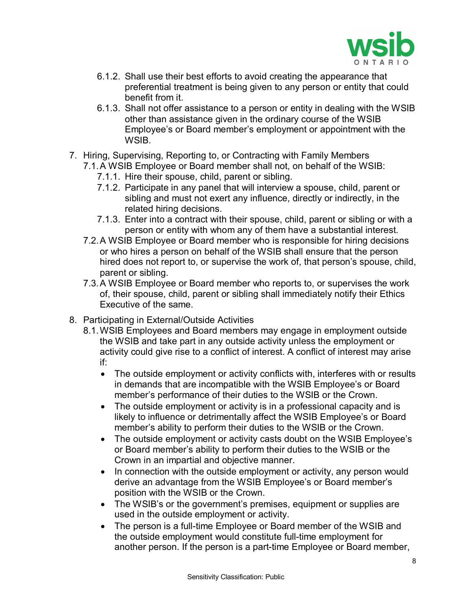

- 6.1.2. Shall use their best efforts to avoid creating the appearance that preferential treatment is being given to any person or entity that could benefit from it.
- 6.1.3. Shall not offer assistance to a person or entity in dealing with the WSIB other than assistance given in the ordinary course of the WSIB Employee's or Board member's employment or appointment with the WSIB.
- 7. Hiring, Supervising, Reporting to, or Contracting with Family Members
	- 7.1.A WSIB Employee or Board member shall not, on behalf of the WSIB:
		- 7.1.1. Hire their spouse, child, parent or sibling.
		- 7.1.2. Participate in any panel that will interview a spouse, child, parent or sibling and must not exert any influence, directly or indirectly, in the related hiring decisions.
		- 7.1.3. Enter into a contract with their spouse, child, parent or sibling or with a person or entity with whom any of them have a substantial interest.
	- 7.2.A WSIB Employee or Board member who is responsible for hiring decisions or who hires a person on behalf of the WSIB shall ensure that the person hired does not report to, or supervise the work of, that person's spouse, child, parent or sibling.
	- 7.3.A WSIB Employee or Board member who reports to, or supervises the work of, their spouse, child, parent or sibling shall immediately notify their Ethics Executive of the same.
- 8. Participating in External/Outside Activities
	- 8.1.WSIB Employees and Board members may engage in employment outside the WSIB and take part in any outside activity unless the employment or activity could give rise to a conflict of interest. A conflict of interest may arise if:
		- The outside employment or activity conflicts with, interferes with or results in demands that are incompatible with the WSIB Employee's or Board member's performance of their duties to the WSIB or the Crown.
		- The outside employment or activity is in a professional capacity and is likely to influence or detrimentally affect the WSIB Employee's or Board member's ability to perform their duties to the WSIB or the Crown.
		- The outside employment or activity casts doubt on the WSIB Employee's or Board member's ability to perform their duties to the WSIB or the Crown in an impartial and objective manner.
		- In connection with the outside employment or activity, any person would derive an advantage from the WSIB Employee's or Board member's position with the WSIB or the Crown.
		- The WSIB's or the government's premises, equipment or supplies are used in the outside employment or activity.
		- The person is a full-time Employee or Board member of the WSIB and the outside employment would constitute full-time employment for another person. If the person is a part-time Employee or Board member,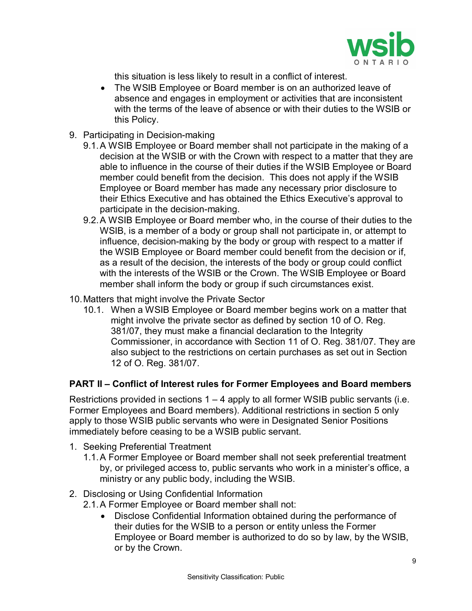

this situation is less likely to result in a conflict of interest.

- The WSIB Employee or Board member is on an authorized leave of absence and engages in employment or activities that are inconsistent with the terms of the leave of absence or with their duties to the WSIB or this Policy.
- 9. Participating in Decision-making
	- 9.1.A WSIB Employee or Board member shall not participate in the making of a decision at the WSIB or with the Crown with respect to a matter that they are able to influence in the course of their duties if the WSIB Employee or Board member could benefit from the decision. This does not apply if the WSIB Employee or Board member has made any necessary prior disclosure to their Ethics Executive and has obtained the Ethics Executive's approval to participate in the decision-making.
	- 9.2.A WSIB Employee or Board member who, in the course of their duties to the WSIB, is a member of a body or group shall not participate in, or attempt to influence, decision-making by the body or group with respect to a matter if the WSIB Employee or Board member could benefit from the decision or if, as a result of the decision, the interests of the body or group could conflict with the interests of the WSIB or the Crown. The WSIB Employee or Board member shall inform the body or group if such circumstances exist.
- 10.Matters that might involve the Private Sector
	- 10.1. When a WSIB Employee or Board member begins work on a matter that might involve the private sector as defined by section 10 of O. Reg. 381/07, they must make a financial declaration to the Integrity Commissioner, in accordance with Section 11 of O. Reg. 381/07. They are also subject to the restrictions on certain purchases as set out in Section 12 of O. Reg. 381/07.

#### **PART II – Conflict of Interest rules for Former Employees and Board members**

Restrictions provided in sections  $1 - 4$  apply to all former WSIB public servants (i.e. Former Employees and Board members). Additional restrictions in section 5 only apply to those WSIB public servants who were in Designated Senior Positions immediately before ceasing to be a WSIB public servant.

- 1. Seeking Preferential Treatment
	- 1.1.A Former Employee or Board member shall not seek preferential treatment by, or privileged access to, public servants who work in a minister's office, a ministry or any public body, including the WSIB.
- 2. Disclosing or Using Confidential Information
	- 2.1.A Former Employee or Board member shall not:
		- Disclose Confidential Information obtained during the performance of their duties for the WSIB to a person or entity unless the Former Employee or Board member is authorized to do so by law, by the WSIB, or by the Crown.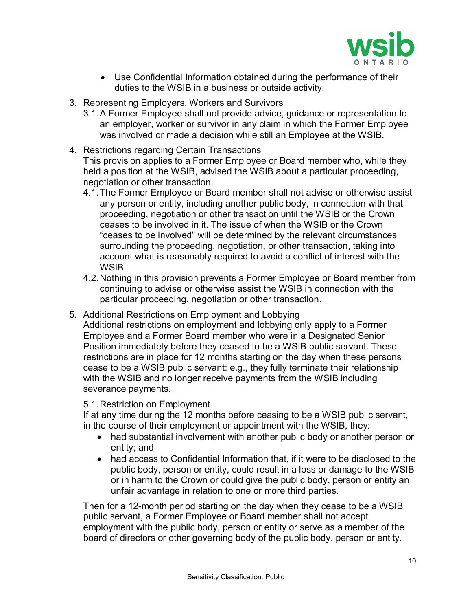

- Use Confidential Information obtained during the performance of their duties to the WSIB in a business or outside activity.
- 3. Representing Employers, Workers and Survivors
	- 3.1.A Former Employee shall not provide advice, guidance or representation to an employer, worker or survivor in any claim in which the Former Employee was involved or made a decision while still an Employee at the WSIB.
- 4. Restrictions regarding Certain Transactions This provision applies to a Former Employee or Board member who, while they held a position at the WSIB, advised the WSIB about a particular proceeding, negotiation or other transaction.
	- 4.1.The Former Employee or Board member shall not advise or otherwise assist any person or entity, including another public body, in connection with that proceeding, negotiation or other transaction until the WSIB or the Crown ceases to be involved in it. The issue of when the WSIB or the Crown "ceases to be involved" will be determined by the relevant circumstances surrounding the proceeding, negotiation, or other transaction, taking into account what is reasonably required to avoid a conflict of interest with the WSIB.
	- 4.2.Nothing in this provision prevents a Former Employee or Board member from continuing to advise or otherwise assist the WSIB in connection with the particular proceeding, negotiation or other transaction.
- 5. Additional Restrictions on Employment and Lobbying Additional restrictions on employment and lobbying only apply to a Former Employee and a Former Board member who were in a Designated Senior Position immediately before they ceased to be a WSIB public servant. These restrictions are in place for 12 months starting on the day when these persons cease to be a WSIB public servant: e.g., they fully terminate their relationship with the WSIB and no longer receive payments from the WSIB including severance payments.

#### 5.1.Restriction on Employment

If at any time during the 12 months before ceasing to be a WSIB public servant, in the course of their employment or appointment with the WSIB, they:

- had substantial involvement with another public body or another person or entity; and
- had access to Confidential Information that, if it were to be disclosed to the public body, person or entity, could result in a loss or damage to the WSIB or in harm to the Crown or could give the public body, person or entity an unfair advantage in relation to one or more third parties.

Then for a 12-month period starting on the day when they cease to be a WSIB public servant, a Former Employee or Board member shall not accept employment with the public body, person or entity or serve as a member of the board of directors or other governing body of the public body, person or entity.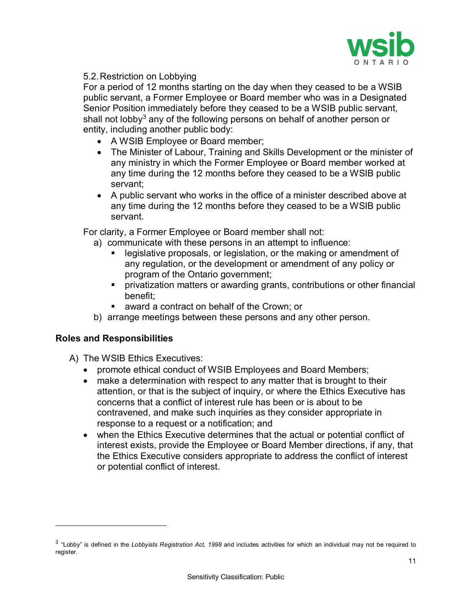

5.2.Restriction on Lobbying

For a period of 12 months starting on the day when they ceased to be a WSIB public servant, a Former Employee or Board member who was in a Designated Senior Position immediately before they ceased to be a WSIB public servant, shall not lobby<sup>3</sup> any of the following persons on behalf of another person or entity, including another public body:

- A WSIB Employee or Board member;
- The Minister of Labour, Training and Skills Development or the minister of any ministry in which the Former Employee or Board member worked at any time during the 12 months before they ceased to be a WSIB public servant;
- A public servant who works in the office of a minister described above at any time during the 12 months before they ceased to be a WSIB public servant.

For clarity, a Former Employee or Board member shall not:

- a) communicate with these persons in an attempt to influence:
	- legislative proposals, or legislation, or the making or amendment of any regulation, or the development or amendment of any policy or program of the Ontario government;
	- privatization matters or awarding grants, contributions or other financial benefit;
	- award a contract on behalf of the Crown; or
- b) arrange meetings between these persons and any other person.

#### **Roles and Responsibilities**

 $\overline{a}$ 

- A) The WSIB Ethics Executives:
	- promote ethical conduct of WSIB Employees and Board Members;
	- make a determination with respect to any matter that is brought to their attention, or that is the subject of inquiry, or where the Ethics Executive has concerns that a conflict of interest rule has been or is about to be contravened, and make such inquiries as they consider appropriate in response to a request or a notification; and
	- when the Ethics Executive determines that the actual or potential conflict of interest exists, provide the Employee or Board Member directions, if any, that the Ethics Executive considers appropriate to address the conflict of interest or potential conflict of interest.

<span id="page-10-0"></span><sup>3</sup> "Lobby" is defined in the *Lobbyists Registration Act, 1998* and includes activities for which an individual may not be required to register.